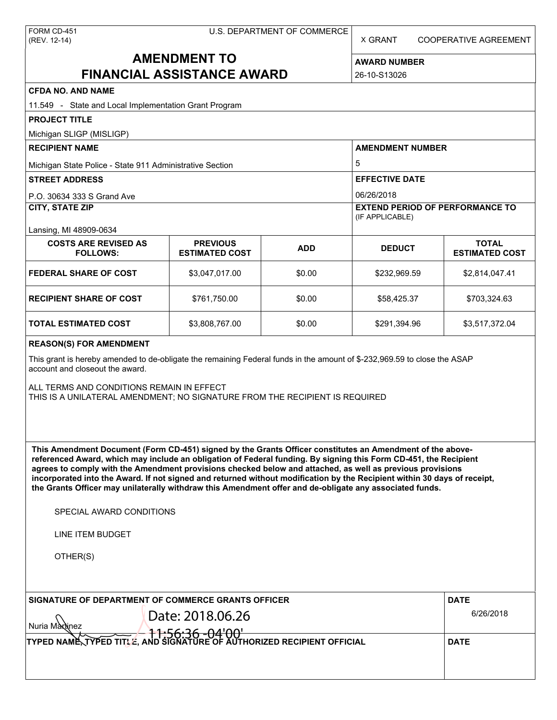X GRANT COOPERATIVE AGREEMENT

# **AMENDMENT TO FINANCIAL ASSISTANCE AWARD**

**AWARD NUMBER** 26-10-S13026

| <b>CFDA NO. AND NAME</b>                                                                                                                                                                                                                                                                                                                                                                                                                                                                                                                                                                                                                      |                                          |                       |                                                           |                                       |  |  |
|-----------------------------------------------------------------------------------------------------------------------------------------------------------------------------------------------------------------------------------------------------------------------------------------------------------------------------------------------------------------------------------------------------------------------------------------------------------------------------------------------------------------------------------------------------------------------------------------------------------------------------------------------|------------------------------------------|-----------------------|-----------------------------------------------------------|---------------------------------------|--|--|
| 11.549 - State and Local Implementation Grant Program                                                                                                                                                                                                                                                                                                                                                                                                                                                                                                                                                                                         |                                          |                       |                                                           |                                       |  |  |
| <b>PROJECT TITLE</b>                                                                                                                                                                                                                                                                                                                                                                                                                                                                                                                                                                                                                          |                                          |                       |                                                           |                                       |  |  |
| Michigan SLIGP (MISLIGP)                                                                                                                                                                                                                                                                                                                                                                                                                                                                                                                                                                                                                      |                                          |                       |                                                           |                                       |  |  |
| <b>RECIPIENT NAME</b>                                                                                                                                                                                                                                                                                                                                                                                                                                                                                                                                                                                                                         |                                          |                       | <b>AMENDMENT NUMBER</b><br>5                              |                                       |  |  |
| Michigan State Police - State 911 Administrative Section                                                                                                                                                                                                                                                                                                                                                                                                                                                                                                                                                                                      |                                          |                       |                                                           |                                       |  |  |
| <b>STREET ADDRESS</b>                                                                                                                                                                                                                                                                                                                                                                                                                                                                                                                                                                                                                         |                                          | <b>EFFECTIVE DATE</b> |                                                           |                                       |  |  |
| P.O. 30634 333 S Grand Ave                                                                                                                                                                                                                                                                                                                                                                                                                                                                                                                                                                                                                    |                                          |                       | 06/26/2018                                                |                                       |  |  |
| <b>CITY, STATE ZIP</b>                                                                                                                                                                                                                                                                                                                                                                                                                                                                                                                                                                                                                        |                                          |                       | <b>EXTEND PERIOD OF PERFORMANCE TO</b><br>(IF APPLICABLE) |                                       |  |  |
| Lansing, MI 48909-0634                                                                                                                                                                                                                                                                                                                                                                                                                                                                                                                                                                                                                        |                                          |                       |                                                           |                                       |  |  |
| <b>COSTS ARE REVISED AS</b><br><b>FOLLOWS:</b>                                                                                                                                                                                                                                                                                                                                                                                                                                                                                                                                                                                                | <b>PREVIOUS</b><br><b>ESTIMATED COST</b> | <b>ADD</b>            | <b>DEDUCT</b>                                             | <b>TOTAL</b><br><b>ESTIMATED COST</b> |  |  |
| <b>FEDERAL SHARE OF COST</b>                                                                                                                                                                                                                                                                                                                                                                                                                                                                                                                                                                                                                  | \$3,047,017.00                           | \$0.00                | \$232,969.59                                              | \$2,814,047.41                        |  |  |
| <b>RECIPIENT SHARE OF COST</b>                                                                                                                                                                                                                                                                                                                                                                                                                                                                                                                                                                                                                | \$761,750.00                             | \$0.00                | \$58,425.37                                               | \$703,324.63                          |  |  |
| TOTAL ESTIMATED COST                                                                                                                                                                                                                                                                                                                                                                                                                                                                                                                                                                                                                          | \$3,808,767.00                           | \$0.00                | \$291,394.96                                              | \$3,517,372.04                        |  |  |
| This grant is hereby amended to de-obligate the remaining Federal funds in the amount of \$-232,969.59 to close the ASAP<br>account and closeout the award.<br>ALL TERMS AND CONDITIONS REMAIN IN EFFECT<br>THIS IS A UNILATERAL AMENDMENT; NO SIGNATURE FROM THE RECIPIENT IS REQUIRED                                                                                                                                                                                                                                                                                                                                                       |                                          |                       |                                                           |                                       |  |  |
| This Amendment Document (Form CD-451) signed by the Grants Officer constitutes an Amendment of the above-<br>referenced Award, which may include an obligation of Federal funding. By signing this Form CD-451, the Recipient<br>agrees to comply with the Amendment provisions checked below and attached, as well as previous provisions<br>incorporated into the Award. If not signed and returned without modification by the Recipient within 30 days of receipt,<br>the Grants Officer may unilaterally withdraw this Amendment offer and de-obligate any associated funds.<br>SPECIAL AWARD CONDITIONS<br>LINE ITEM BUDGET<br>OTHER(S) |                                          |                       |                                                           |                                       |  |  |
| SIGNATURE OF DEPARTMENT OF COMMERCE GRANTS OFFICER                                                                                                                                                                                                                                                                                                                                                                                                                                                                                                                                                                                            | Date: 2018.06.26                         |                       |                                                           | <b>DATE</b><br>6/26/2018              |  |  |
| Nuria Mannez<br>ME TYPED TITLE, AND SIGNATURE OF AUTHORIZED RECIPIENT OFFICIAL                                                                                                                                                                                                                                                                                                                                                                                                                                                                                                                                                                | <b>DATE</b>                              |                       |                                                           |                                       |  |  |